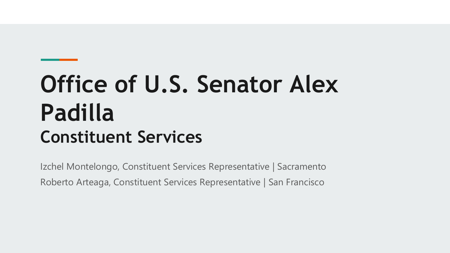# **Office of U.S. Senator Alex Padilla Constituent Services**

Izchel Montelongo, Constituent Services Representative | Sacramento Roberto Arteaga, Constituent Services Representative | San Francisco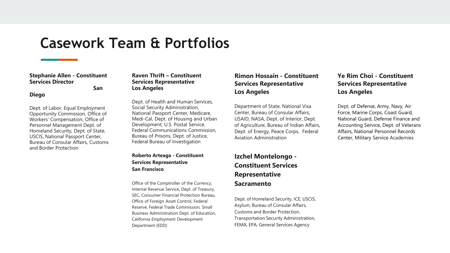# **Casework Team & Portfolios**

#### **Stephanie Allen - Constituent Services Director**

**San** 

#### **Diego**

Dept. of Labor, Equal Employment Opportunity Commission, Office of Workers' Compensation, Office of Personnel Management Dept. of Homeland Security, Dept. of State, USCIS, National Passport Center, Bureau of Consular Affairs, Customs and Border Protection

#### **Raven Thrift – Constituent Services Representative Los Angeles**

Dept. of Health and Human Services, Social Security Administration, National Passport Center, Medicare, Medi-Cal, Dept. of Housing and Urban Development, U.S. Postal Service, Federal Communications Commission, Bureau of Prisons, Dept. of Justice, Federal Bureau of Investigation

#### **Roberto Arteaga - Constituent Services Representative San Francisco**

Office of the Comptroller of the Currency, Internal Revenue Service, Dept. of Treasury, SEC, Consumer Financial Protection Bureau, Office of Foreign Asset Control, Federal Reserve, Federal Trade Commission, Small Business Administration Dept. of Education, California Employment Development Department (EDD)

#### **Rimon Hossain - Constituent Services Representative Los Angeles**

Department of State, National Visa Center, Bureau of Consular Affairs, USAID, NASA, Dept. of Interior, Dept. of Agriculture, Bureau of Indian Affairs, Dept. of Energy, Peace Corps, Federal Aviation Administration

#### **Izchel Montelongo - Constituent Services Representative Sacramento**

Dept. of Homeland Security, ICE, USCIS, Asylum, Bureau of Consular Affairs, Customs and Border Protection, Transportation Security Administration, FEMA, EPA, General Services Agency

#### **Ye Rim Choi - Constituent Services Representative Los Angeles**

Dept. of Defense, Army, Navy, Air Force, Marine Corps, Coast Guard, National Guard, Defense Finance and Accounting Service, Dept. of Veterans Affairs, National Personnel Records Center, Military Service Academies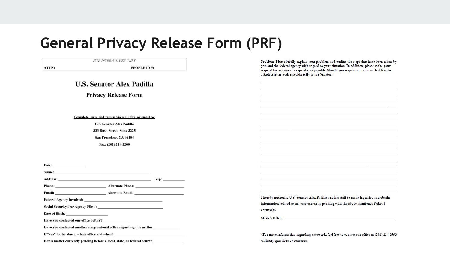# **General Privacy Release Form (PRF)**

FOR INTERNAL USE ONLY Problem: Please briefly explain your problem and outline the steps that have been taken by you and the federal agency with regard to your situation. In addition, please make your ATTN: PEOPLE ID#: request for assistance as specific as possible. Should you require more room, feel free to attach a letter addressed directly to the Senator. **U.S. Senator Alex Padilla Privacy Release Form** Complete, sign, and return via mail, fax, or email to: **U.S. Senator Alex Padilla** 333 Bush Street, Suite 3225 San Francisco, CA 94104 Fax: (202) 224-2200 Date:  $\qquad \qquad$ Name: <u> 1989 - Johann Barn, mars an t-Amerikaansk kommunister (</u>  $\mathbf{z}_{\mathbf{p}}$   $\mathbf{z}_{\mathbf{p}}$ **Address:** Phone: Alternate Phone: Alternate Email: National Alternate Email: Email: I hereby authorize U.S. Senator Alex Padilla and his staff to make inquiries and obtain Federal Agency Involved: New York School and School and School and School and School and School and School and information related to my case currently pending with the above mentioned federal agency(s). Date of Birth: North State of Birth: SIGNATURE: Have you contacted our office before? Have you contacted another congressional office regarding this matter: \_\_\_\_\_\_\_\_\_ \*For more information regarding casework, feel free to contact our office at (202) 224-3553 Is this matter currently pending before a local, state, or federal court? with any questions or concerns.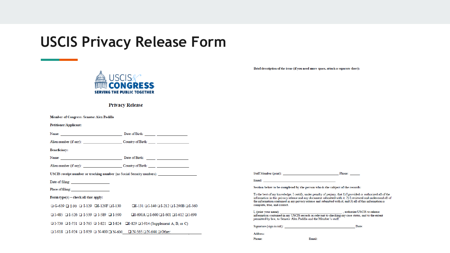# **USCIS Privacy Release Form**



**Privacy Release** 

| Member of Congress: Senator Alex Padilla                                       |                                                                   |                                     |                                                                                                                                                                                                                                                                                                                                          |                                                                                                     |       |
|--------------------------------------------------------------------------------|-------------------------------------------------------------------|-------------------------------------|------------------------------------------------------------------------------------------------------------------------------------------------------------------------------------------------------------------------------------------------------------------------------------------------------------------------------------------|-----------------------------------------------------------------------------------------------------|-------|
| <b>Petitioner/Applicant:</b>                                                   |                                                                   |                                     |                                                                                                                                                                                                                                                                                                                                          |                                                                                                     |       |
| Name: Date of Birth:                                                           |                                                                   |                                     |                                                                                                                                                                                                                                                                                                                                          |                                                                                                     |       |
| Alien number (if any): Country of Birth:                                       |                                                                   |                                     |                                                                                                                                                                                                                                                                                                                                          |                                                                                                     |       |
| <b>Beneficiary:</b>                                                            |                                                                   |                                     |                                                                                                                                                                                                                                                                                                                                          |                                                                                                     |       |
| Name: Date of Birth:                                                           |                                                                   |                                     |                                                                                                                                                                                                                                                                                                                                          |                                                                                                     |       |
| Alien number (if any): Country of Birth:                                       |                                                                   |                                     |                                                                                                                                                                                                                                                                                                                                          |                                                                                                     |       |
| USCIS receipt number or tracking number (no Social Security numbers):          |                                                                   | Staff Member (print): Phone: Phone: |                                                                                                                                                                                                                                                                                                                                          |                                                                                                     |       |
|                                                                                |                                                                   |                                     | Email: The contract of the contract of the contract of the contract of the contract of the contract of the contract of the contract of the contract of the contract of the contract of the contract of the contract of the con                                                                                                           |                                                                                                     |       |
| Place of filing: 2003                                                          |                                                                   |                                     | Section below to be completed by the person who is the subject of the records:                                                                                                                                                                                                                                                           |                                                                                                     |       |
| Form $type(s)$ – check all that apply:                                         |                                                                   |                                     | To the best of my knowledge, I certify, under penalty of perjury, that 1) I provided or authorized all of the<br>information in this privacy release and any document submitted with it; 2) I reviewed and understand all of<br>the information contained in my privacy release and submitted with it; and 3) all of this information is |                                                                                                     |       |
| $\Box$ G-639 $\Box$ I-90 $\Box$ I-129 $\Box$ I-129F $\Box$ I-130               | $\Box$ I-131 $\Box$ I-140 $\Box$ I-212 $\Box$ I-290B $\Box$ I-360 |                                     | complete, true, and correct.                                                                                                                                                                                                                                                                                                             |                                                                                                     |       |
| $\Box$ I-485 $\Box$ I-526 $\Box$ I-539 $\Box$ I-589 $\Box$ I-590               | $DI-600A \square I-600 \square I-601 \square I-612 \square I-690$ |                                     | permitted by law, to Senator Alex Padilla and the Member's staff.                                                                                                                                                                                                                                                                        | information contained in my USCIS records as relevant to checking my case status, and to the extent |       |
| □ I-730 □ I-751 □ I-765 □ I-821 □ I-824 □I-829 □ I-914 (Supplement A, B, or C) |                                                                   |                                     | Signature (sign in ink):                                                                                                                                                                                                                                                                                                                 |                                                                                                     | Date: |
| Other: I-924 ⊔ I-929 ⊔ N-400 <u>U</u> N-500 ∪ N-565 ∪ N-644 ∪ Other:           |                                                                   |                                     | Address:                                                                                                                                                                                                                                                                                                                                 |                                                                                                     |       |
|                                                                                |                                                                   |                                     | Phone:                                                                                                                                                                                                                                                                                                                                   | Email:                                                                                              |       |

Brief description of the issue (if you need more space, attach a separate sheet):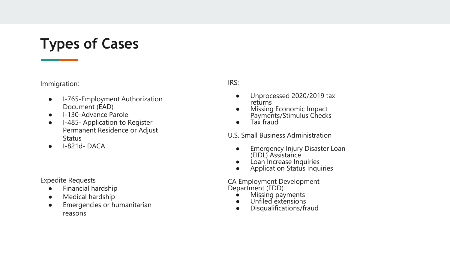# **Types of Cases**

#### Immigration:

- I-765-Employment Authorization Document (EAD)
- I-130-Advance Parole
- I-485- Application to Register Permanent Residence or Adjust **Status**
- $\bullet$  I-821d-DACA

#### Expedite Requests

- Financial hardship
- Medical hardship
- Emergencies or humanitarian reasons

#### IRS:

- Unprocessed 2020/2019 tax returns
- Missing Economic Impact Payments/Stimulus Checks
- Tax fraud

U.S. Small Business Administration

- **•** Emergency Injury Disaster Loan (EIDL) Assistance
- Loan Increase Inquiries
- Application Status Inquiries

CA Employment Development Department (EDD)

- Missing payments
- Unfiled extensions
- Disqualifications/fraud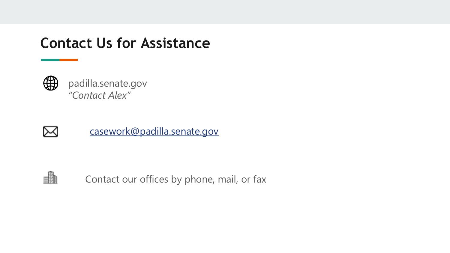# **Contact Us for Assistance**



padilla.senate.gov *"Contact Alex"*



[casework@padilla.senate.gov](mailto:casework@padilla.senate.gov)



Contact our offices by phone, mail, or fax